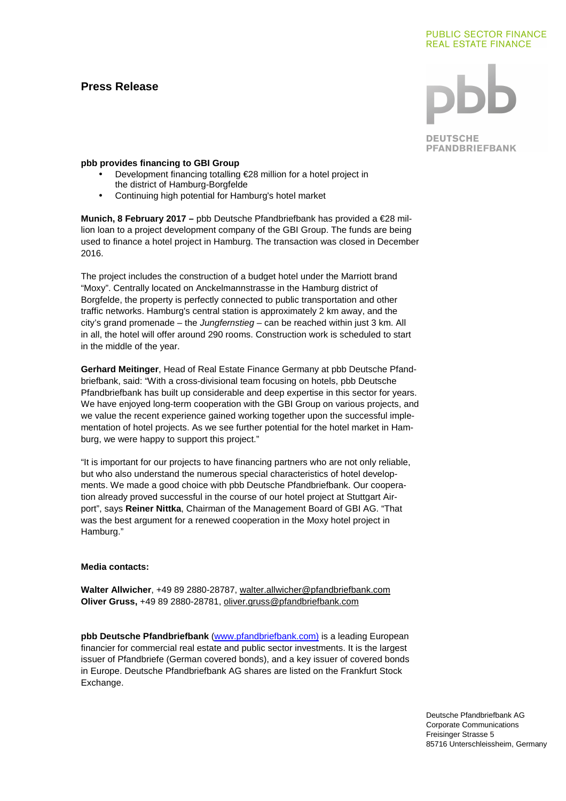# **Press Release**

#### **PUBLIC SECTOR FINANCE REAL ESTATE FINANCE**

**DEUTSCHE PFANDBRIEFBANK** 

# **pbb provides financing to GBI Group**

- Development financing totalling €28 million for a hotel project in the district of Hamburg-Borgfelde
- Continuing high potential for Hamburg's hotel market

**Munich, 8 February 2017 –** pbb Deutsche Pfandbriefbank has provided a €28 million loan to a project development company of the GBI Group. The funds are being used to finance a hotel project in Hamburg. The transaction was closed in December 2016.

The project includes the construction of a budget hotel under the Marriott brand "Moxy". Centrally located on Anckelmannstrasse in the Hamburg district of Borgfelde, the property is perfectly connected to public transportation and other traffic networks. Hamburg's central station is approximately 2 km away, and the city's grand promenade – the Jungfernstieg – can be reached within just 3 km. All in all, the hotel will offer around 290 rooms. Construction work is scheduled to start in the middle of the year.

**Gerhard Meitinger**, Head of Real Estate Finance Germany at pbb Deutsche Pfandbriefbank, said: "With a cross-divisional team focusing on hotels, pbb Deutsche Pfandbriefbank has built up considerable and deep expertise in this sector for years. We have enjoyed long-term cooperation with the GBI Group on various projects, and we value the recent experience gained working together upon the successful implementation of hotel projects. As we see further potential for the hotel market in Hamburg, we were happy to support this project."

"It is important for our projects to have financing partners who are not only reliable, but who also understand the numerous special characteristics of hotel developments. We made a good choice with pbb Deutsche Pfandbriefbank. Our cooperation already proved successful in the course of our hotel project at Stuttgart Airport", says **Reiner Nittka**, Chairman of the Management Board of GBI AG. "That was the best argument for a renewed cooperation in the Moxy hotel project in Hamburg."

## **Media contacts:**

**Walter Allwicher**, +49 89 2880-28787, walter.allwicher@pfandbriefbank.com **Oliver Gruss,** +49 89 2880-28781, oliver.gruss@pfandbriefbank.com

**pbb Deutsche Pfandbriefbank** (www.pfandbriefbank.com) is a leading European financier for commercial real estate and public sector investments. It is the largest issuer of Pfandbriefe (German covered bonds), and a key issuer of covered bonds in Europe. Deutsche Pfandbriefbank AG shares are listed on the Frankfurt Stock Exchange.

> Deutsche Pfandbriefbank AG Corporate Communications Freisinger Strasse 5 85716 Unterschleissheim, Germany